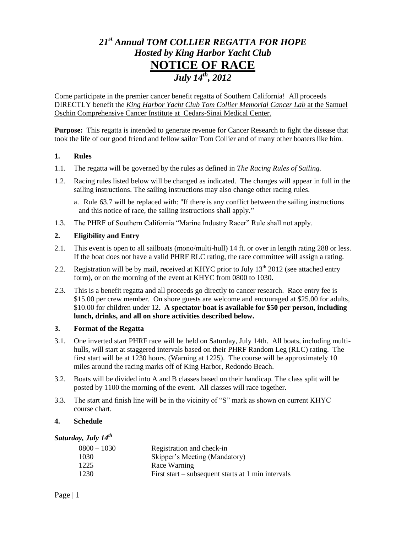# *21st Annual TOM COLLIER REGATTA FOR HOPE Hosted by King Harbor Yacht Club* **NOTICE OF RACE** *July 14th, 2012*

Come participate in the premier cancer benefit regatta of Southern California! All proceeds DIRECTLY benefit the *King Harbor Yacht Club Tom Collier Memorial Cancer Lab* at the Samuel Oschin Comprehensive Cancer Institute at Cedars-Sinai Medical Center.

**Purpose:** This regatta is intended to generate revenue for Cancer Research to fight the disease that took the life of our good friend and fellow sailor Tom Collier and of many other boaters like him.

## **1. Rules**

- 1.1. The regatta will be governed by the rules as defined in *The Racing Rules of Sailing.*
- 1.2. Racing rules listed below will be changed as indicated. The changes will appear in full in the sailing instructions. The sailing instructions may also change other racing rules.
	- a. Rule 63.7 will be replaced with: "If there is any conflict between the sailing instructions and this notice of race, the sailing instructions shall apply."
- 1.3. The PHRF of Southern California "Marine Industry Racer" Rule shall not apply.

## **2. Eligibility and Entry**

- 2.1. This event is open to all sailboats (mono/multi-hull) 14 ft. or over in length rating 288 or less. If the boat does not have a valid PHRF RLC rating, the race committee will assign a rating.
- 2.2. Registration will be by mail, received at KHYC prior to July  $13<sup>th</sup>$  2012 (see attached entry form), or on the morning of the event at KHYC from 0800 to 1030.
- 2.3. This is a benefit regatta and all proceeds go directly to cancer research. Race entry fee is \$15.00 per crew member. On shore guests are welcome and encouraged at \$25.00 for adults, \$10.00 for children under 12**. A spectator boat is available for \$50 per person, including lunch, drinks, and all on shore activities described below.**

## **3. Format of the Regatta**

- 3.1. One inverted start PHRF race will be held on Saturday, July 14th. All boats, including multihulls, will start at staggered intervals based on their PHRF Random Leg (RLC) rating. The first start will be at 1230 hours. (Warning at 1225). The course will be approximately 10 miles around the racing marks off of King Harbor, Redondo Beach.
- 3.2. Boats will be divided into A and B classes based on their handicap. The class split will be posted by 1100 the morning of the event. All classes will race together.
- 3.3. The start and finish line will be in the vicinity of "S" mark as shown on current KHYC course chart.

## **4. Schedule**

## *Saturday, July 14th*

| $0800 - 1030$ | Registration and check-in                          |
|---------------|----------------------------------------------------|
| 1030          | Skipper's Meeting (Mandatory)                      |
| 1225          | Race Warning                                       |
| 1230          | First start – subsequent starts at 1 min intervals |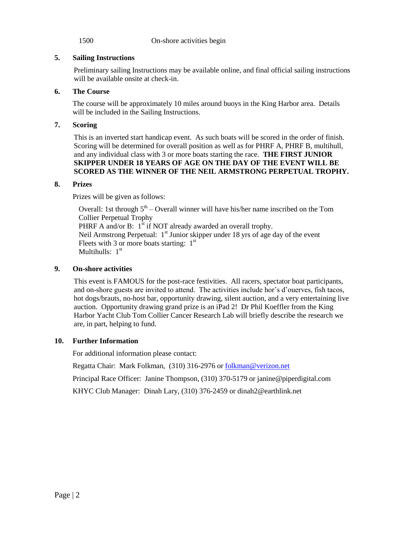1500 On-shore activities begin

## **5. Sailing Instructions**

Preliminary sailing Instructions may be available online, and final official sailing instructions will be available onsite at check-in.

## **6. The Course**

The course will be approximately 10 miles around buoys in the King Harbor area. Details will be included in the Sailing Instructions.

## **7. Scoring**

This is an inverted start handicap event. As such boats will be scored in the order of finish. Scoring will be determined for overall position as well as for PHRF A, PHRF B, multihull, and any individual class with 3 or more boats starting the race. **THE FIRST JUNIOR SKIPPER UNDER 18 YEARS OF AGE ON THE DAY OF THE EVENT WILL BE SCORED AS THE WINNER OF THE NEIL ARMSTRONG PERPETUAL TROPHY.**

## **8. Prizes**

Prizes will be given as follows:

Overall: 1st through  $5<sup>th</sup>$  – Overall winner will have his/her name inscribed on the Tom Collier Perpetual Trophy PHRF A and/or B:  $1^{\text{st}}$  if NOT already awarded an overall trophy. Neil Armstrong Perpetual:  $1<sup>st</sup>$  Junior skipper under 18 yrs of age day of the event Fleets with 3 or more boats starting:  $1<sup>st</sup>$ Multihulls:  $1<sup>st</sup>$ 

# **9. On-shore activities**

This event is FAMOUS for the post-race festivities. All racers, spectator boat participants, and on-shore guests are invited to attend. The activities include hor's d'ouerves, fish tacos, hot dogs/brauts, no-host bar, opportunity drawing, silent auction, and a very entertaining live auction. Opportunity drawing grand prize is an iPad 2! Dr Phil Koeffler from the King Harbor Yacht Club Tom Collier Cancer Research Lab will briefly describe the research we are, in part, helping to fund.

## **10. Further Information**

For additional information please contact:

Regatta Chair: Mark Folkman, (310) 316-2976 o[r folkman@verizon.net](mailto:folkman@verizon.net)

Principal Race Officer: Janine Thompson, (310) 370-5179 or janine@piperdigital.com

KHYC Club Manager: Dinah Lary, (310) 376-2459 or [dinah2@earthlink.net](mailto:dinah2@earthlink.net)